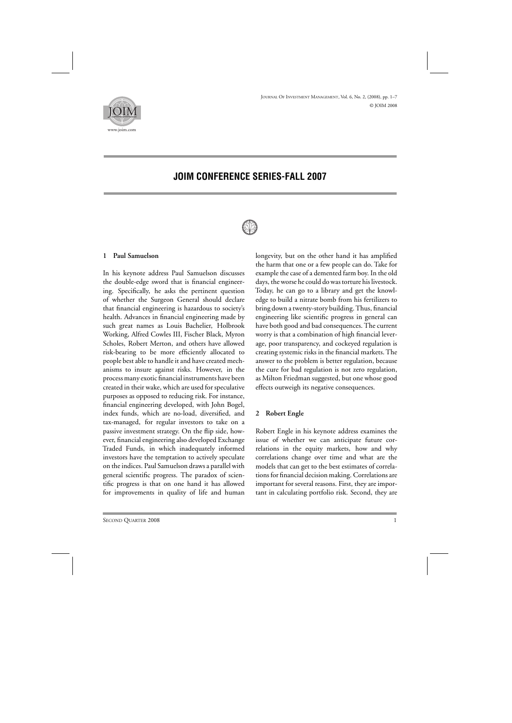

# **JOIM CONFERENCE SERIES-FALL 2007**



### **1 Paul Samuelson**

In his keynote address Paul Samuelson discusses the double-edge sword that is financial engineering. Specifically, he asks the pertinent question of whether the Surgeon General should declare that financial engineering is hazardous to society's health. Advances in financial engineering made by such great names as Louis Bachelier, Holbrook Working, Alfred Cowles III, Fischer Black, Myron Scholes, Robert Merton, and others have allowed risk-bearing to be more efficiently allocated to people best able to handle it and have created mechanisms to insure against risks. However, in the process many exotic financial instruments have been created in their wake, which are used for speculative purposes as opposed to reducing risk. For instance, financial engineering developed, with John Bogel, index funds, which are no-load, diversified, and tax-managed, for regular investors to take on a passive investment strategy. On the flip side, however, financial engineering also developed Exchange Traded Funds, in which inadequately informed investors have the temptation to actively speculate on the indices. Paul Samuelson draws a parallel with general scientific progress. The paradox of scientific progress is that on one hand it has allowed for improvements in quality of life and human longevity, but on the other hand it has amplified the harm that one or a few people can do. Take for example the case of a demented farm boy. In the old days, the worse he could do was torture his livestock. Today, he can go to a library and get the knowledge to build a nitrate bomb from his fertilizers to bring down a twenty-story building. Thus, financial engineering like scientific progress in general can have both good and bad consequences. The current worry is that a combination of high financial leverage, poor transparency, and cockeyed regulation is creating systemic risks in the financial markets. The answer to the problem is better regulation, because the cure for bad regulation is not zero regulation, as Milton Friedman suggested, but one whose good effects outweigh its negative consequences.

#### **2 Robert Engle**

Robert Engle in his keynote address examines the issue of whether we can anticipate future correlations in the equity markets, how and why correlations change over time and what are the models that can get to the best estimates of correlations for financial decision making. Correlations are important for several reasons. First, they are important in calculating portfolio risk. Second, they are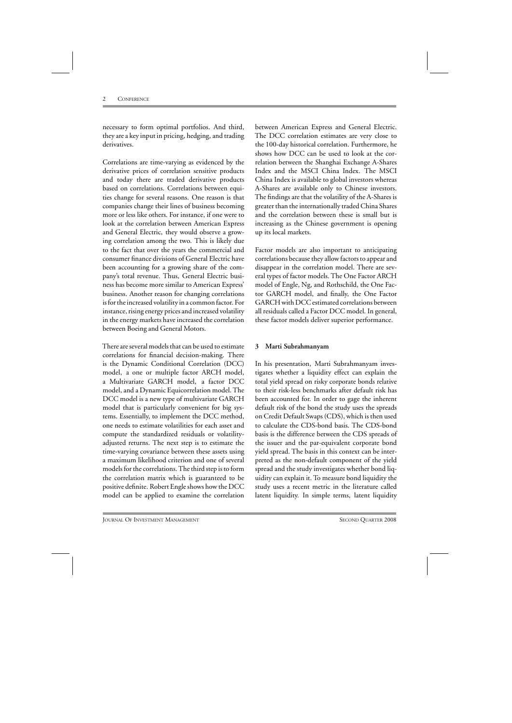necessary to form optimal portfolios. And third, they are a key input in pricing, hedging, and trading derivatives.

Correlations are time-varying as evidenced by the derivative prices of correlation sensitive products and today there are traded derivative products based on correlations. Correlations between equities change for several reasons. One reason is that companies change their lines of business becoming more or less like others. For instance, if one were to look at the correlation between American Express and General Electric, they would observe a growing correlation among the two. This is likely due to the fact that over the years the commercial and consumer finance divisions of General Electric have been accounting for a growing share of the company's total revenue. Thus, General Electric business has become more similar to American Express' business. Another reason for changing correlations is for the increased volatility in a common factor. For instance, rising energy prices and increased volatility in the energy markets have increased the correlation between Boeing and General Motors.

There are several models that can be used to estimate correlations for financial decision-making. There is the Dynamic Conditional Correlation (DCC) model, a one or multiple factor ARCH model, a Multivariate GARCH model, a factor DCC model, and a Dynamic Equicorrelation model. The DCC model is a new type of multivariate GARCH model that is particularly convenient for big systems. Essentially, to implement the DCC method, one needs to estimate volatilities for each asset and compute the standardized residuals or volatilityadjusted returns. The next step is to estimate the time-varying covariance between these assets using a maximum likelihood criterion and one of several models for the correlations. The third step is to form the correlation matrix which is guaranteed to be positive definite. Robert Engle shows how the DCC model can be applied to examine the correlation

between American Express and General Electric. The DCC correlation estimates are very close to the 100-day historical correlation. Furthermore, he shows how DCC can be used to look at the correlation between the Shanghai Exchange A-Shares Index and the MSCI China Index. The MSCI China Index is available to global investors whereas A-Shares are available only to Chinese investors. The findings are that the volatility of the A-Shares is greater than the internationally traded China Shares and the correlation between these is small but is increasing as the Chinese government is opening up its local markets.

Factor models are also important to anticipating correlations because they allow factors to appear and disappear in the correlation model. There are several types of factor models. The One Factor ARCH model of Engle, Ng, and Rothschild, the One Factor GARCH model, and finally, the One Factor GARCH with DCC estimated correlations between all residuals called a Factor DCC model. In general, these factor models deliver superior performance.

# **3 Marti Subrahmanyam**

In his presentation, Marti Subrahmanyam investigates whether a liquidity effect can explain the total yield spread on risky corporate bonds relative to their risk-less benchmarks after default risk has been accounted for. In order to gage the inherent default risk of the bond the study uses the spreads on Credit Default Swaps (CDS), which is then used to calculate the CDS-bond basis. The CDS-bond basis is the difference between the CDS spreads of the issuer and the par-equivalent corporate bond yield spread. The basis in this context can be interpreted as the non-default component of the yield spread and the study investigates whether bond liquidity can explain it. To measure bond liquidity the study uses a recent metric in the literature called latent liquidity. In simple terms, latent liquidity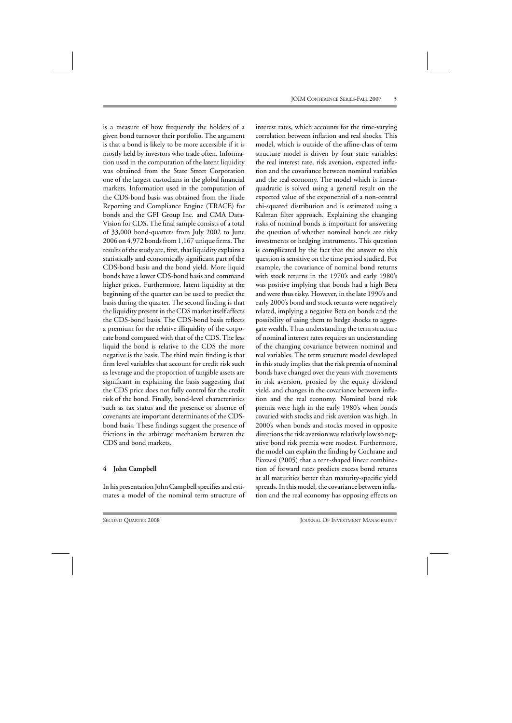is a measure of how frequently the holders of a given bond turnover their portfolio. The argument is that a bond is likely to be more accessible if it is mostly held by investors who trade often. Information used in the computation of the latent liquidity was obtained from the State Street Corporation one of the largest custodians in the global financial markets. Information used in the computation of the CDS-bond basis was obtained from the Trade Reporting and Compliance Engine (TRACE) for bonds and the GFI Group Inc. and CMA Data-Vision for CDS. The final sample consists of a total of 33,000 bond-quarters from July 2002 to June 2006 on 4,972 bonds from 1,167 unique firms. The results of the study are, first, that liquidity explains a statistically and economically significant part of the CDS-bond basis and the bond yield. More liquid bonds have a lower CDS-bond basis and command higher prices. Furthermore, latent liquidity at the beginning of the quarter can be used to predict the basis during the quarter. The second finding is that the liquidity present in the CDS market itself affects the CDS-bond basis. The CDS-bond basis reflects a premium for the relative illiquidity of the corporate bond compared with that of the CDS. The less liquid the bond is relative to the CDS the more negative is the basis. The third main finding is that firm level variables that account for credit risk such as leverage and the proportion of tangible assets are significant in explaining the basis suggesting that the CDS price does not fully control for the credit risk of the bond. Finally, bond-level characteristics such as tax status and the presence or absence of covenants are important determinants of the CDSbond basis. These findings suggest the presence of frictions in the arbitrage mechanism between the CDS and bond markets.

# **4 John Campbell**

In his presentation John Campbell specifies and estimates a model of the nominal term structure of interest rates, which accounts for the time-varying correlation between inflation and real shocks. This model, which is outside of the affine-class of term structure model is driven by four state variables: the real interest rate, risk aversion, expected inflation and the covariance between nominal variables and the real economy. The model which is linearquadratic is solved using a general result on the expected value of the exponential of a non-central chi-squared distribution and is estimated using a Kalman filter approach. Explaining the changing risks of nominal bonds is important for answering the question of whether nominal bonds are risky investments or hedging instruments. This question is complicated by the fact that the answer to this question is sensitive on the time period studied. For example, the covariance of nominal bond returns with stock returns in the 1970's and early 1980's was positive implying that bonds had a high Beta and were thus risky. However, in the late 1990's and early 2000's bond and stock returns were negatively related, implying a negative Beta on bonds and the possibility of using them to hedge shocks to aggregate wealth. Thus understanding the term structure of nominal interest rates requires an understanding of the changing covariance between nominal and real variables. The term structure model developed in this study implies that the risk premia of nominal bonds have changed over the years with movements in risk aversion, proxied by the equity dividend yield, and changes in the covariance between inflation and the real economy. Nominal bond risk premia were high in the early 1980's when bonds covaried with stocks and risk aversion was high. In 2000's when bonds and stocks moved in opposite directions the risk aversion was relatively low so negative bond risk premia were modest. Furthermore, the model can explain the finding by Cochrane and Piazzesi (2005) that a tent-shaped linear combination of forward rates predicts excess bond returns at all maturities better than maturity-specific yield spreads. In this model, the covariance between inflation and the real economy has opposing effects on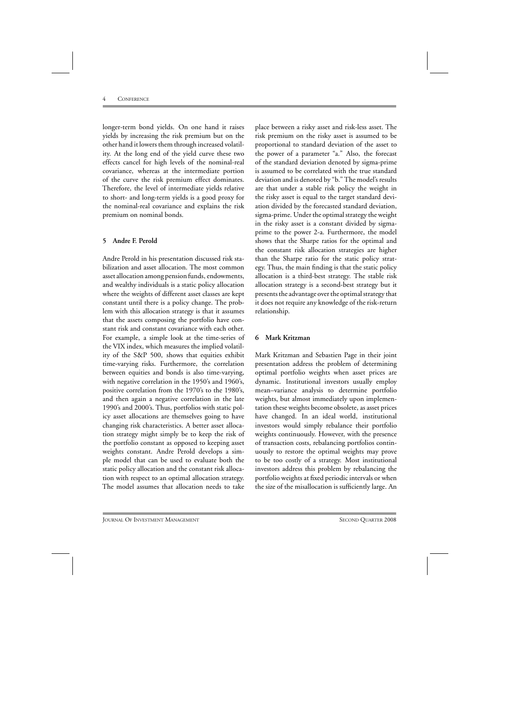longer-term bond yields. On one hand it raises yields by increasing the risk premium but on the other hand it lowers them through increased volatility. At the long end of the yield curve these two effects cancel for high levels of the nominal-real covariance, whereas at the intermediate portion of the curve the risk premium effect dominates. Therefore, the level of intermediate yields relative to short- and long-term yields is a good proxy for the nominal-real covariance and explains the risk premium on nominal bonds.

### **5 Andre F. Perold**

Andre Perold in his presentation discussed risk stabilization and asset allocation. The most common asset allocation among pension funds, endowments, and wealthy individuals is a static policy allocation where the weights of different asset classes are kept constant until there is a policy change. The problem with this allocation strategy is that it assumes that the assets composing the portfolio have constant risk and constant covariance with each other. For example, a simple look at the time-series of the VIX index, which measures the implied volatility of the S&P 500, shows that equities exhibit time-varying risks. Furthermore, the correlation between equities and bonds is also time-varying, with negative correlation in the 1950's and 1960's, positive correlation from the 1970's to the 1980's, and then again a negative correlation in the late 1990's and 2000's. Thus, portfolios with static policy asset allocations are themselves going to have changing risk characteristics. A better asset allocation strategy might simply be to keep the risk of the portfolio constant as opposed to keeping asset weights constant. Andre Perold develops a simple model that can be used to evaluate both the static policy allocation and the constant risk allocation with respect to an optimal allocation strategy. The model assumes that allocation needs to take

place between a risky asset and risk-less asset. The risk premium on the risky asset is assumed to be proportional to standard deviation of the asset to the power of a parameter "a." Also, the forecast of the standard deviation denoted by sigma-prime is assumed to be correlated with the true standard deviation and is denoted by "b." The model's results are that under a stable risk policy the weight in the risky asset is equal to the target standard deviation divided by the forecasted standard deviation, sigma-prime. Under the optimal strategy the weight in the risky asset is a constant divided by sigmaprime to the power 2-a. Furthermore, the model shows that the Sharpe ratios for the optimal and the constant risk allocation strategies are higher than the Sharpe ratio for the static policy strategy. Thus, the main finding is that the static policy allocation is a third-best strategy. The stable risk allocation strategy is a second-best strategy but it presents the advantage over the optimal strategy that it does not require any knowledge of the risk-return relationship.

# **6 Mark Kritzman**

Mark Kritzman and Sebastien Page in their joint presentation address the problem of determining optimal portfolio weights when asset prices are dynamic. Institutional investors usually employ mean–variance analysis to determine portfolio weights, but almost immediately upon implementation these weights become obsolete, as asset prices have changed. In an ideal world, institutional investors would simply rebalance their portfolio weights continuously. However, with the presence of transaction costs, rebalancing portfolios continuously to restore the optimal weights may prove to be too costly of a strategy. Most institutional investors address this problem by rebalancing the portfolio weights at fixed periodic intervals or when the size of the misallocation is sufficiently large. An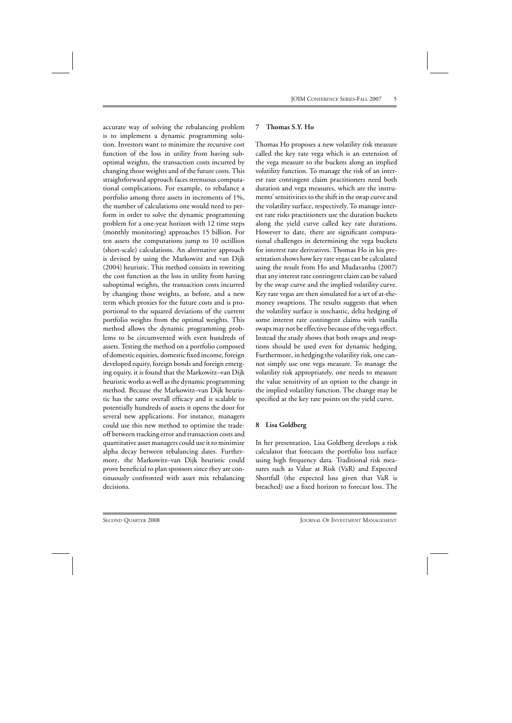accurate way of solving the rebalancing problem is to implement a dynamic programming solution. Investors want to minimize the recursive cost function of the loss in utility from having suboptimal weights, the transaction costs incurred by changing those weights and of the future costs. This straightforward approach faces strenuous computational complications. For example, to rebalance a portfolio among three assets in increments of 1%, the number of calculations one would need to perform in order to solve the dynamic programming problem for a one-year horizon with 12 time steps (monthly monitoring) approaches 15 billion. For ten assets the computations jump to 10 octillion (short-scale) calculations. An alternative approach is devised by using the Markowitz and van Dijk (2004) heuristic. This method consists in rewriting the cost function as the loss in utility from having suboptimal weights, the transaction costs incurred by changing those weights, as before, and a new term which proxies for the future costs and is proportional to the squared deviations of the current portfolio weights from the optimal weights. This method allows the dynamic programming problems to be circumvented with even hundreds of assets. Testing the method on a portfolio composed of domestic equities, domestic fixed income, foreign developed equity, foreign bonds and foreign emerging equity, it is found that the Markowitz–van Dijk heuristic works as well as the dynamic programming method. Because the Markowitz–van Dijk heuristic has the same overall efficacy and is scalable to potentially hundreds of assets it opens the door for several new applications. For instance, managers could use this new method to optimize the tradeoff between tracking error and transaction costs and quantitative asset managers could use it to minimize alpha decay between rebalancing dates. Furthermore, the Markowitz–van Dijk heuristic could prove beneficial to plan sponsors since they are continuously confronted with asset mix rebalancing decisions.

#### **7 Thomas S.Y. Ho**

Thomas Ho proposes a new volatility risk measure called the key rate vega which is an extension of the vega measure to the buckets along an implied volatility function. To manage the risk of an interest rate contingent claim practitioners need both duration and vega measures, which are the instruments' sensitivities to the shift in the swap curve and the volatility surface, respectively. To manage interest rate risks practitioners use the duration buckets along the yield curve called key rate durations. However to date, there are significant computational challenges in determining the vega buckets for interest rate derivatives. Thomas Ho in his presentation shows how key rate vegas can be calculated using the result from Ho and Mudavanhu (2007) that any interest rate contingent claim can be valued by the swap curve and the implied volatility curve. Key rate vegas are then simulated for a set of at-themoney swaptions. The results suggests that when the volatility surface is stochastic, delta hedging of some interest rate contingent claims with vanilla swaps may not be effective because of the vega effect. Instead the study shows that both swaps and swaptions should be used even for dynamic hedging. Furthermore, in hedging the volatility risk, one cannot simply use one vega measure. To manage the volatility risk appropriately, one needs to measure the value sensitivity of an option to the change in the implied volatility function. The change may be specified at the key rate points on the yield curve.

#### **8 Lisa Goldberg**

In her presentation, Lisa Goldberg develops a risk calculator that forecasts the portfolio loss surface using high frequency data. Traditional risk measures such as Value at Risk (VaR) and Expected Shortfall (the expected loss given that VaR is breached) use a fixed horizon to forecast loss. The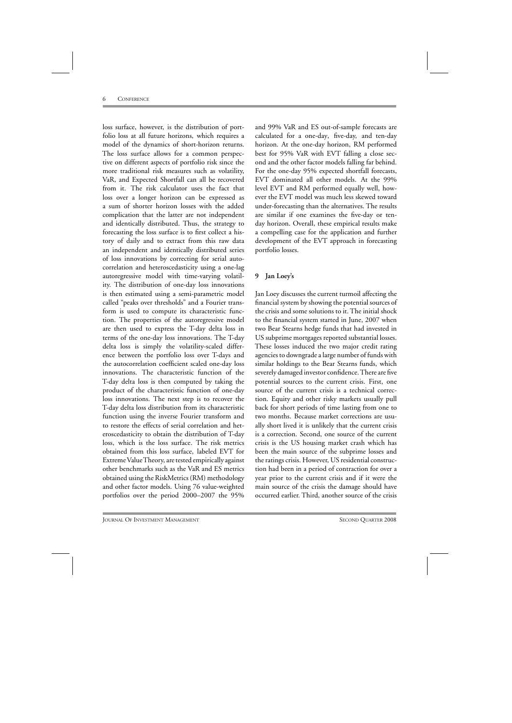loss surface, however, is the distribution of portfolio loss at all future horizons, which requires a model of the dynamics of short-horizon returns. The loss surface allows for a common perspective on different aspects of portfolio risk since the more traditional risk measures such as volatility, VaR, and Expected Shortfall can all be recovered from it. The risk calculator uses the fact that loss over a longer horizon can be expressed as a sum of shorter horizon losses with the added complication that the latter are not independent and identically distributed. Thus, the strategy to forecasting the loss surface is to first collect a history of daily and to extract from this raw data an independent and identically distributed series of loss innovations by correcting for serial autocorrelation and heteroscedasticity using a one-lag autoregressive model with time-varying volatility. The distribution of one-day loss innovations is then estimated using a semi-parametric model called "peaks over thresholds" and a Fourier transform is used to compute its characteristic function. The properties of the autoregressive model are then used to express the T-day delta loss in terms of the one-day loss innovations. The T-day delta loss is simply the volatility-scaled difference between the portfolio loss over T-days and the autocorrelation coefficient scaled one-day loss innovations. The characteristic function of the T-day delta loss is then computed by taking the product of the characteristic function of one-day loss innovations. The next step is to recover the T-day delta loss distribution from its characteristic function using the inverse Fourier transform and to restore the effects of serial correlation and heteroscedasticity to obtain the distribution of T-day loss, which is the loss surface. The risk metrics obtained from this loss surface, labeled EVT for Extreme Value Theory, are tested empirically against other benchmarks such as the VaR and ES metrics obtained using the RiskMetrics (RM) methodology and other factor models. Using 76 value-weighted portfolios over the period 2000–2007 the 95%

and 99% VaR and ES out-of-sample forecasts are calculated for a one-day, five-day, and ten-day horizon. At the one-day horizon, RM performed best for 95% VaR with EVT falling a close second and the other factor models falling far behind. For the one-day 95% expected shortfall forecasts, EVT dominated all other models. At the 99% level EVT and RM performed equally well, however the EVT model was much less skewed toward under-forecasting than the alternatives. The results are similar if one examines the five-day or tenday horizon. Overall, these empirical results make a compelling case for the application and further development of the EVT approach in forecasting portfolio losses.

# **9 Jan Loey's**

Jan Loey discusses the current turmoil affecting the financial system by showing the potential sources of the crisis and some solutions to it. The initial shock to the financial system started in June, 2007 when two Bear Stearns hedge funds that had invested in US subprime mortgages reported substantial losses. These losses induced the two major credit rating agencies to downgrade a large number of funds with similar holdings to the Bear Stearns funds, which severely damaged investor confidence. There are five potential sources to the current crisis. First, one source of the current crisis is a technical correction. Equity and other risky markets usually pull back for short periods of time lasting from one to two months. Because market corrections are usually short lived it is unlikely that the current crisis is a correction. Second, one source of the current crisis is the US housing market crash which has been the main source of the subprime losses and the ratings crisis. However, US residential construction had been in a period of contraction for over a year prior to the current crisis and if it were the main source of the crisis the damage should have occurred earlier. Third, another source of the crisis